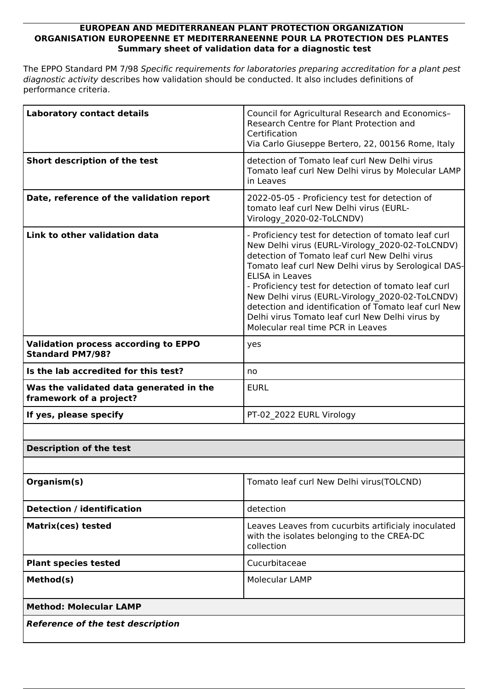## **EUROPEAN AND MEDITERRANEAN PLANT PROTECTION ORGANIZATION ORGANISATION EUROPEENNE ET MEDITERRANEENNE POUR LA PROTECTION DES PLANTES Summary sheet of validation data for a diagnostic test**

The EPPO Standard PM 7/98 *Specific requirements for laboratories preparing accreditation for a plant pest diagnostic activity* describes how validation should be conducted. It also includes definitions of performance criteria.

| <b>Laboratory contact details</b>                                      | Council for Agricultural Research and Economics-<br>Research Centre for Plant Protection and<br>Certification<br>Via Carlo Giuseppe Bertero, 22, 00156 Rome, Italy                                                                                                                                                                                                                                                                                                                                    |
|------------------------------------------------------------------------|-------------------------------------------------------------------------------------------------------------------------------------------------------------------------------------------------------------------------------------------------------------------------------------------------------------------------------------------------------------------------------------------------------------------------------------------------------------------------------------------------------|
| Short description of the test                                          | detection of Tomato leaf curl New Delhi virus<br>Tomato leaf curl New Delhi virus by Molecular LAMP<br>in Leaves                                                                                                                                                                                                                                                                                                                                                                                      |
| Date, reference of the validation report                               | 2022-05-05 - Proficiency test for detection of<br>tomato leaf curl New Delhi virus (EURL-<br>Virology 2020-02-ToLCNDV)                                                                                                                                                                                                                                                                                                                                                                                |
| Link to other validation data                                          | - Proficiency test for detection of tomato leaf curl<br>New Delhi virus (EURL-Virology 2020-02-ToLCNDV)<br>detection of Tomato leaf curl New Delhi virus<br>Tomato leaf curl New Delhi virus by Serological DAS-<br><b>ELISA in Leaves</b><br>- Proficiency test for detection of tomato leaf curl<br>New Delhi virus (EURL-Virology 2020-02-ToLCNDV)<br>detection and identification of Tomato leaf curl New<br>Delhi virus Tomato leaf curl New Delhi virus by<br>Molecular real time PCR in Leaves |
| <b>Validation process according to EPPO</b><br><b>Standard PM7/98?</b> | yes                                                                                                                                                                                                                                                                                                                                                                                                                                                                                                   |
| Is the lab accredited for this test?                                   | no                                                                                                                                                                                                                                                                                                                                                                                                                                                                                                    |
| Was the validated data generated in the<br>framework of a project?     | <b>EURL</b>                                                                                                                                                                                                                                                                                                                                                                                                                                                                                           |
| If yes, please specify                                                 | PT-02 2022 EURL Virology                                                                                                                                                                                                                                                                                                                                                                                                                                                                              |
|                                                                        |                                                                                                                                                                                                                                                                                                                                                                                                                                                                                                       |
| <b>Description of the test</b>                                         |                                                                                                                                                                                                                                                                                                                                                                                                                                                                                                       |
|                                                                        |                                                                                                                                                                                                                                                                                                                                                                                                                                                                                                       |
| Organism(s)                                                            | Tomato leaf curl New Delhi virus (TOLCND)                                                                                                                                                                                                                                                                                                                                                                                                                                                             |
| <b>Detection / identification</b>                                      | detection                                                                                                                                                                                                                                                                                                                                                                                                                                                                                             |
| <b>Matrix(ces) tested</b>                                              | Leaves Leaves from cucurbits artificialy inoculated<br>with the isolates belonging to the CREA-DC<br>collection                                                                                                                                                                                                                                                                                                                                                                                       |
| <b>Plant species tested</b>                                            | Cucurbitaceae                                                                                                                                                                                                                                                                                                                                                                                                                                                                                         |
| Method(s)                                                              | <b>Molecular LAMP</b>                                                                                                                                                                                                                                                                                                                                                                                                                                                                                 |
| <b>Method: Molecular LAMP</b>                                          |                                                                                                                                                                                                                                                                                                                                                                                                                                                                                                       |
| <b>Reference of the test description</b>                               |                                                                                                                                                                                                                                                                                                                                                                                                                                                                                                       |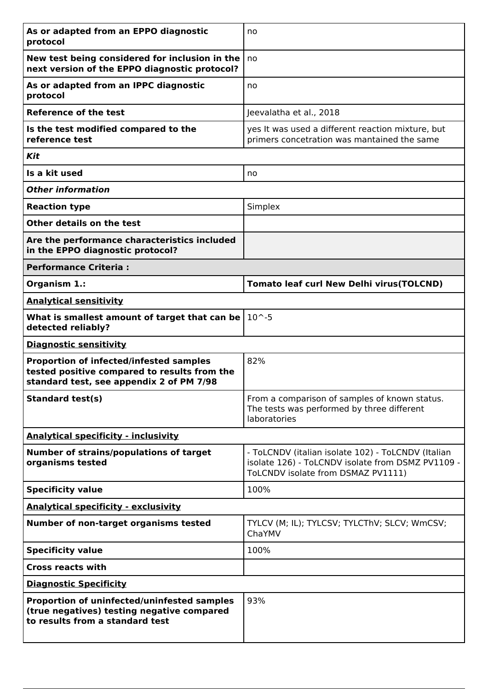| As or adapted from an EPPO diagnostic<br>protocol                                                                                          | no                                                                                                                                            |  |
|--------------------------------------------------------------------------------------------------------------------------------------------|-----------------------------------------------------------------------------------------------------------------------------------------------|--|
| New test being considered for inclusion in the<br>next version of the EPPO diagnostic protocol?                                            | no                                                                                                                                            |  |
| As or adapted from an IPPC diagnostic<br>protocol                                                                                          | no                                                                                                                                            |  |
| <b>Reference of the test</b>                                                                                                               | Jeevalatha et al., 2018                                                                                                                       |  |
| Is the test modified compared to the<br>reference test                                                                                     | yes It was used a different reaction mixture, but<br>primers concetration was mantained the same                                              |  |
| Kit                                                                                                                                        |                                                                                                                                               |  |
| Is a kit used                                                                                                                              | no                                                                                                                                            |  |
| <b>Other information</b>                                                                                                                   |                                                                                                                                               |  |
| <b>Reaction type</b>                                                                                                                       | Simplex                                                                                                                                       |  |
| Other details on the test                                                                                                                  |                                                                                                                                               |  |
| Are the performance characteristics included<br>in the EPPO diagnostic protocol?                                                           |                                                                                                                                               |  |
| <b>Performance Criteria:</b>                                                                                                               |                                                                                                                                               |  |
| Organism 1.:                                                                                                                               | <b>Tomato leaf curl New Delhi virus(TOLCND)</b>                                                                                               |  |
| <b>Analytical sensitivity</b>                                                                                                              |                                                                                                                                               |  |
| What is smallest amount of target that can be<br>detected reliably?                                                                        | $10^{\sim} - 5$                                                                                                                               |  |
| <b>Diagnostic sensitivity</b>                                                                                                              |                                                                                                                                               |  |
| <b>Proportion of infected/infested samples</b><br>tested positive compared to results from the<br>standard test, see appendix 2 of PM 7/98 | 82%                                                                                                                                           |  |
| <b>Standard test(s)</b>                                                                                                                    | From a comparison of samples of known status.<br>The tests was performed by three different<br>laboratories                                   |  |
| <b>Analytical specificity - inclusivity</b>                                                                                                |                                                                                                                                               |  |
| <b>Number of strains/populations of target</b><br>organisms tested                                                                         | - ToLCNDV (italian isolate 102) - ToLCNDV (Italian<br>isolate 126) - ToLCNDV isolate from DSMZ PV1109 -<br>ToLCNDV isolate from DSMAZ PV1111) |  |
| <b>Specificity value</b>                                                                                                                   | 100%                                                                                                                                          |  |
| <b>Analytical specificity - exclusivity</b>                                                                                                |                                                                                                                                               |  |
| Number of non-target organisms tested                                                                                                      | TYLCV (M; IL); TYLCSV; TYLCThV; SLCV; WmCSV;<br>ChaYMV                                                                                        |  |
| <b>Specificity value</b>                                                                                                                   | 100%                                                                                                                                          |  |
| <b>Cross reacts with</b>                                                                                                                   |                                                                                                                                               |  |
| <b>Diagnostic Specificity</b>                                                                                                              |                                                                                                                                               |  |
| Proportion of uninfected/uninfested samples<br>(true negatives) testing negative compared<br>to results from a standard test               | 93%                                                                                                                                           |  |